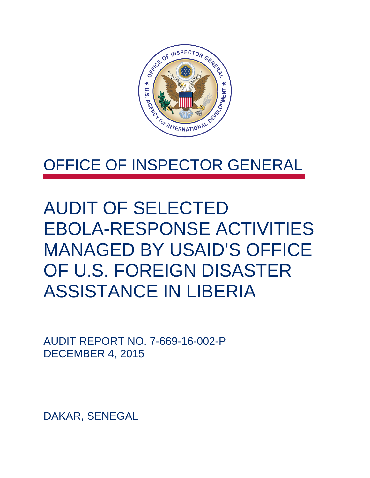

## OFFICE OF INSPECTOR GENERAL

## AUDIT OF SELECTED EBOLA-RESPONSE ACTIVITIES MANAGED BY USAID'S OFFICE OF U.S. FOREIGN DISASTER ASSISTANCE IN LIBERIA

AUDIT REPORT NO. 7-669-16-002-P DECEMBER 4, 2015

DAKAR, SENEGAL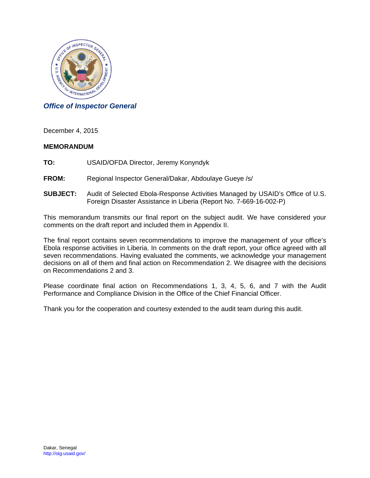

#### *Office of Inspector General*

December 4, 2015

#### **MEMORANDUM**

**TO:** USAID/OFDA Director, Jeremy Konyndyk

- **FROM:** Regional Inspector General/Dakar, Abdoulaye Gueye /s/
- **SUBJECT:** Audit of Selected Ebola-Response Activities Managed by USAID's Office of U.S. Foreign Disaster Assistance in Liberia (Report No. 7-669-16-002-P)

This memorandum transmits our final report on the subject audit. We have considered your comments on the draft report and included them in Appendix II.

The final report contains seven recommendations to improve the management of your office's Ebola response activities in Liberia. In comments on the draft report, your office agreed with all seven recommendations. Having evaluated the comments, we acknowledge your management decisions on all of them and final action on Recommendation 2. We disagree with the decisions on Recommendations 2 and 3.

Please coordinate final action on Recommendations 1, 3, 4, 5, 6, and 7 with the Audit Performance and Compliance Division in the Office of the Chief Financial Officer.

Thank you for the cooperation and courtesy extended to the audit team during this audit.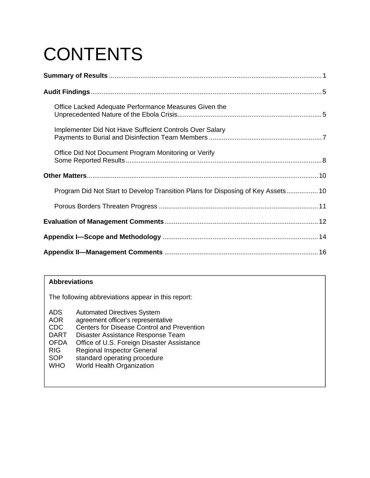# **CONTENTS**

| Office Lacked Adequate Performance Measures Given the                            |  |
|----------------------------------------------------------------------------------|--|
| Implementer Did Not Have Sufficient Controls Over Salary                         |  |
| Office Did Not Document Program Monitoring or Verify                             |  |
|                                                                                  |  |
| Program Did Not Start to Develop Transition Plans for Disposing of Key Assets 10 |  |
|                                                                                  |  |
|                                                                                  |  |
|                                                                                  |  |
|                                                                                  |  |

#### **Abbreviations**

The following abbreviations appear in this report:

- ADS Automated Directives System
- AOR agreement officer's representative
- CDC Centers for Disease Control and Prevention
- DART Disaster Assistance Response Team<br>OFDA Office of U.S. Foreign Disaster Assista
- OFDA Office of U.S. Foreign Disaster Assistance
- RIG Regional Inspector General<br>SOP standard operating procedur
- standard operating procedure
- WHO World Health Organization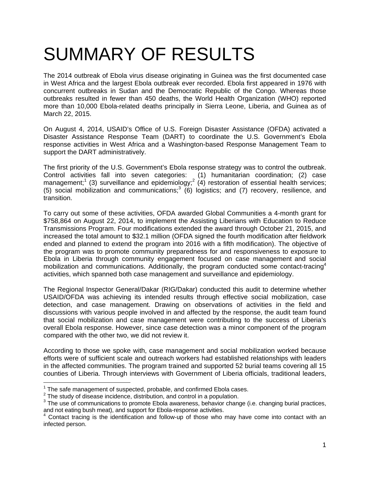# SUMMARY OF RESULTS

The 2014 outbreak of Ebola virus disease originating in Guinea was the first documented case in West Africa and the largest Ebola outbreak ever recorded. Ebola first appeared in 1976 with concurrent outbreaks in Sudan and the Democratic Republic of the Congo. Whereas those outbreaks resulted in fewer than 450 deaths, the World Health Organization (WHO) reported more than 10,000 Ebola-related deaths principally in Sierra Leone, Liberia, and Guinea as of March 22, 2015.

On August 4, 2014, USAID's Office of U.S. Foreign Disaster Assistance (OFDA) activated a Disaster Assistance Response Team (DART) to coordinate the U.S. Government's Ebola response activities in West Africa and a Washington-based Response Management Team to support the DART administratively.

The first priority of the U.S. Government's Ebola response strategy was to control the outbreak. Control activities fall into seven categories: (1) humanitarian coordination; (2) case management;<sup>1</sup> (3) surveillance and epidemiology;<sup>2</sup> (4) restoration of essential health services; (5) social mobilization and communications;<sup>3</sup> (6) logistics; and (7) recovery, resilience, and transition.

To carry out some of these activities, OFDA awarded Global Communities a 4-month grant for \$758,864 on August 22, 2014, to implement the Assisting Liberians with Education to Reduce Transmissions Program. Four modifications extended the award through October 21, 2015, and increased the total amount to \$32.1 million (OFDA signed the fourth modification after fieldwork ended and planned to extend the program into 2016 with a fifth modification). The objective of the program was to promote community preparedness for and responsiveness to exposure to Ebola in Liberia through community engagement focused on case management and social mobilization and communications. Additionally, the program conducted some contact-tracing<sup>4</sup> activities, which spanned both case management and surveillance and epidemiology.

The Regional Inspector General/Dakar (RIG/Dakar) conducted this audit to determine whether USAID/OFDA was achieving its intended results through effective social mobilization, case detection, and case management. Drawing on observations of activities in the field and discussions with various people involved in and affected by the response, the audit team found that social mobilization and case management were contributing to the success of Liberia's overall Ebola response. However, since case detection was a minor component of the program compared with the other two, we did not review it.

According to those we spoke with, case management and social mobilization worked because efforts were of sufficient scale and outreach workers had established relationships with leaders in the affected communities. The program trained and supported 52 burial teams covering all 15 counties of Liberia. Through interviews with Government of Liberia officials, traditional leaders,

<sup>&</sup>lt;sup>1</sup> The safe management of suspected, probable, and confirmed Ebola cases.<br><sup>2</sup> The study of discose insidence, distribution, and control in a population.

<sup>&</sup>lt;sup>2</sup> The study of disease incidence, distribution, and control in a population.<br><sup>3</sup> The use of communications to promote Ebola awareness, behavior change (i.e. changing burial practices,

and not eating bush meat), and support for Ebola-response activities.<br><sup>4</sup> Contact tracing is the identification and follow-up of those who may have come into contact with an infected person.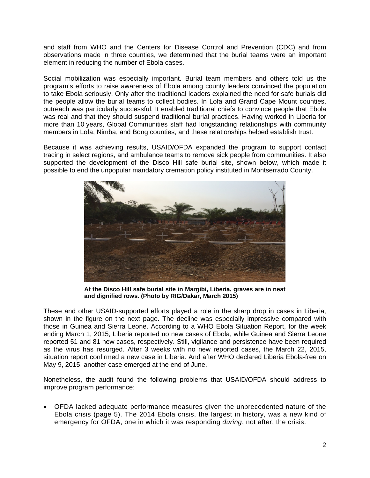element in reducing the number of Ebola cases. and staff from WHO and the Centers for Disease Control and Prevention (CDC) and from observations made in three counties, we determined that the burial teams were an important

Social mobilization was especially important. Burial team members and others told us the program's efforts to raise awareness of Ebola among county leaders convinced the population to take Ebola seriously. Only after the traditional leaders explained the need for safe burials did the people allow the burial teams to collect bodies. In Lofa and Grand Cape Mount counties, outreach was particularly successful. It enabled traditional chiefs to convince people that Ebola was real and that they should suspend traditional burial practices. Having worked in Liberia for more than 10 years, Global Communities staff had longstanding relationships with community members in Lofa, Nimba, and Bong counties, and these relationships helped establish trust.

Because it was achieving results, USAID/OFDA expanded the program to support contact tracing in select regions, and ambulance teams to remove sick people from communities. It also supported the development of the Disco Hill safe burial site, shown below, which made it possible to end the unpopular mandatory cremation policy instituted in Montserrado County.



**At the Disco Hill safe burial site in Margibi, Liberia, graves are in neat and dignified rows. (Photo by RIG/Dakar, March 2015)** 

These and other USAID-supported efforts played a role in the sharp drop in cases in Liberia, shown in the figure on the next page. The decline was especially impressive compared with those in Guinea and Sierra Leone. According to a WHO Ebola Situation Report, for the week ending March 1, 2015, Liberia reported no new cases of Ebola, while Guinea and Sierra Leone reported 51 and 81 new cases, respectively. Still, vigilance and persistence have been required as the virus has resurged. After 3 weeks with no new reported cases, the March 22, 2015, situation report confirmed a new case in Liberia. And after WHO declared Liberia Ebola-free on May 9, 2015, another case emerged at the end of June.

Nonetheless, the audit found the following problems that USAID/OFDA should address to improve program performance:

emergency for OFDA, one in which it was responding *during*, not after, the crisis.<br>2 OFDA lacked adequate performance measures given the unprecedented nature of the Ebola crisis (page 5). The 2014 Ebola crisis, the largest in history, was a new kind of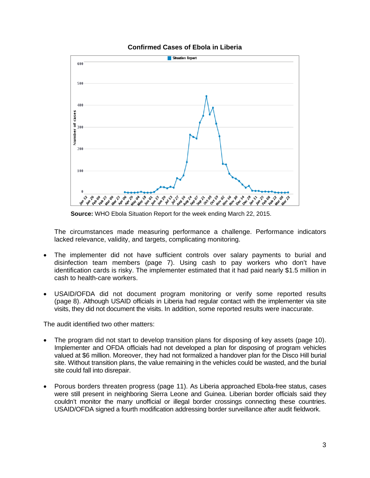



**Source:** WHO Ebola Situation Report for the week ending March 22, 2015.

 The circumstances made measuring performance a challenge. Performance indicators lacked relevance, validity, and targets, complicating monitoring.

- The implementer did not have sufficient controls over salary payments to burial and disinfection team members (page 7). Using cash to pay workers who don't have identification cards is risky. The implementer estimated that it had paid nearly \$1.5 million in cash to health-care workers.
- (page 8). Although USAID officials in Liberia had regular contact with the implementer via site visits, they did not document the visits. In addition, some reported results were inaccurate. USAID/OFDA did not document program monitoring or verify some reported results

The audit identified two other matters:

- valued at \$6 million. Moreover, they had not formalized a handover plan for the Disco Hill burial site could fall into disrepair. The program did not start to develop transition plans for disposing of key assets (page 10). Implementer and OFDA officials had not developed a plan for disposing of program vehicles site. Without transition plans, the value remaining in the vehicles could be wasted, and the burial
- Porous borders threaten progress (page 11). As Liberia approached Ebola-free status, cases were still present in neighboring Sierra Leone and Guinea. Liberian border officials said they couldn't monitor the many unofficial or illegal border crossings connecting these countries. USAID/OFDA signed a fourth modification addressing border surveillance after audit fieldwork.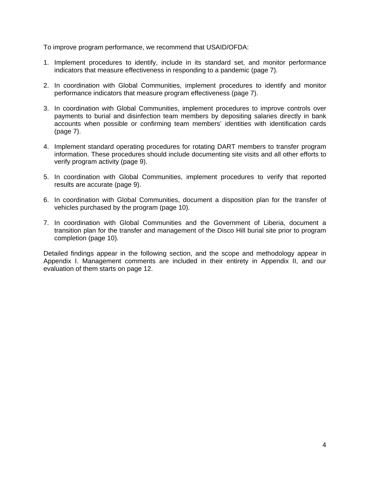To improve program performance, we recommend that USAID/OFDA:

- 1. Implement procedures to identify, include in its standard set, and monitor performance indicators that measure effectiveness in responding to a pandemic (page 7).
- 2. In coordination with Global Communities, implement procedures to identify and monitor performance indicators that measure program effectiveness (page 7).
- 3. In coordination with Global Communities, implement procedures to improve controls over payments to burial and disinfection team members by depositing salaries directly in bank accounts when possible or confirming team members' identities with identification cards (page 7).
- 4. Implement standard operating procedures for rotating DART members to transfer program information. These procedures should include documenting site visits and all other efforts to verify program activity (page 9).
- 5. In coordination with Global Communities, implement procedures to verify that reported results are accurate (page 9).
- 6. In coordination with Global Communities, document a disposition plan for the transfer of vehicles purchased by the program (page 10).
- 7. In coordination with Global Communities and the Government of Liberia, document a transition plan for the transfer and management of the Disco Hill burial site prior to program completion (page 10).

evaluation of them starts on page 12. Detailed findings appear in the following section, and the scope and methodology appear in Appendix I. Management comments are included in their entirety in Appendix II, and our evaluation of them starts on page 12. 4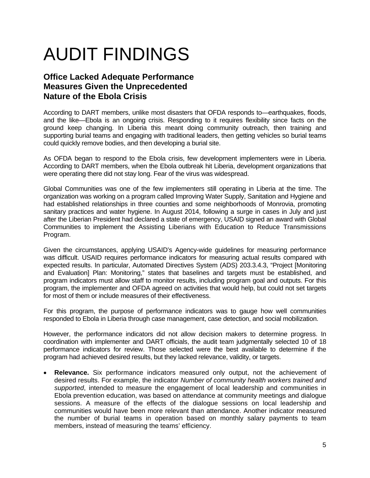# AUDIT FINDINGS

### **Office Lacked Adequate Performance Measures Given the Unprecedented Nature of the Ebola Crisis**

 supporting burial teams and engaging with traditional leaders, then getting vehicles so burial teams could quickly remove bodies, and then developing a burial site. According to DART members, unlike most disasters that OFDA responds to—earthquakes, floods, and the like—Ebola is an ongoing crisis. Responding to it requires flexibility since facts on the ground keep changing. In Liberia this meant doing community outreach, then training and

 were operating there did not stay long. Fear of the virus was widespread. As OFDA began to respond to the Ebola crisis, few development implementers were in Liberia. According to DART members, when the Ebola outbreak hit Liberia, development organizations that

Global Communities was one of the few implementers still operating in Liberia at the time. The organization was working on a program called Improving Water Supply, Sanitation and Hygiene and had established relationships in three counties and some neighborhoods of Monrovia, promoting sanitary practices and water hygiene. In August 2014, following a surge in cases in July and just after the Liberian President had declared a state of emergency, USAID signed an award with Global Communities to implement the Assisting Liberians with Education to Reduce Transmissions Program.

 program, the implementer and OFDA agreed on activities that would help, but could not set targets for most of them or include measures of their effectiveness. Given the circumstances, applying USAID's Agency-wide guidelines for measuring performance was difficult. USAID requires performance indicators for measuring actual results compared with expected results. In particular, Automated Directives System (ADS) 203.3.4.3, "Project [Monitoring and Evaluation] Plan: Monitoring," states that baselines and targets must be established, and program indicators must allow staff to monitor results, including program goal and outputs. For this

for most of them or include measures of their effectiveness.<br>For this program, the purpose of performance indicators was to gauge how well communities responded to Ebola in Liberia through case management, case detection, and social mobilization.

However, the performance indicators did not allow decision makers to determine progress. In coordination with implementer and DART officials, the audit team judgmentally selected 10 of 18 performance indicators for review. Those selected were the best available to determine if the program had achieved desired results, but they lacked relevance, validity, or targets.

 **Relevance.** Six performance indicators measured only output, not the achievement of desired results. For example, the indicator *Number of community health workers trained and supported*, intended to measure the engagement of local leadership and communities in Ebola prevention education, was based on attendance at community meetings and dialogue sessions. A measure of the effects of the dialogue sessions on local leadership and communities would have been more relevant than attendance. Another indicator measured the number of burial teams in operation based on monthly salary payments to team members, instead of measuring the teams' efficiency.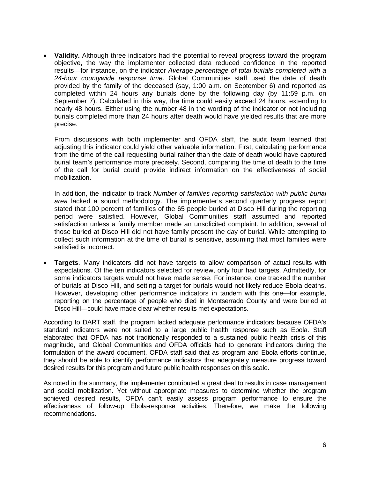burials completed more than 24 hours after death would have yielded results that are more **Validity.** Although three indicators had the potential to reveal progress toward the program objective, the way the implementer collected data reduced confidence in the reported results—for instance, on the indicator *Average percentage of total burials completed with a 24-hour countywide response time.* Global Communities staff used the date of death provided by the family of the deceased (say, 1:00 a.m. on September 6) and reported as completed within 24 hours any burials done by the following day (by 11:59 p.m. on September 7). Calculated in this way, the time could easily exceed 24 hours, extending to nearly 48 hours. Either using the number 48 in the wording of the indicator or not including precise.

mobilization. From discussions with both implementer and OFDA staff, the audit team learned that adjusting this indicator could yield other valuable information. First, calculating performance from the time of the call requesting burial rather than the date of death would have captured burial team's performance more precisely. Second, comparing the time of death to the time of the call for burial could provide indirect information on the effectiveness of social

In addition, the indicator to track *Number of families reporting satisfaction with public burial area* lacked a sound methodology. The implementer's second quarterly progress report stated that 100 percent of families of the 65 people buried at Disco Hill during the reporting period were satisfied. However, Global Communities staff assumed and reported satisfaction unless a family member made an unsolicited complaint. In addition, several of those buried at Disco Hill did not have family present the day of burial. While attempting to collect such information at the time of burial is sensitive, assuming that most families were satisfied is incorrect.

 **Targets**. Many indicators did not have targets to allow comparison of actual results with However, developing other performance indicators in tandem with this one—for example, Disco Hill-could have made clear whether results met expectations. expectations. Of the ten indicators selected for review, only four had targets. Admittedly, for some indicators targets would not have made sense. For instance, one tracked the number of burials at Disco Hill, and setting a target for burials would not likely reduce Ebola deaths. reporting on the percentage of people who died in Montserrado County and were buried at

According to DART staff, the program lacked adequate performance indicators because OFDA's standard indicators were not suited to a large public health response such as Ebola. Staff elaborated that OFDA has not traditionally responded to a sustained public health crisis of this magnitude, and Global Communities and OFDA officials had to generate indicators during the formulation of the award document. OFDA staff said that as program and Ebola efforts continue, they should be able to identify performance indicators that adequately measure progress toward desired results for this program and future public health responses on this scale.

As noted in the summary, the implementer contributed a great deal to results in case management and social mobilization. Yet without appropriate measures to determine whether the program achieved desired results, OFDA can't easily assess program performance to ensure the effectiveness of follow-up Ebola-response activities. Therefore, we make the following recommendations.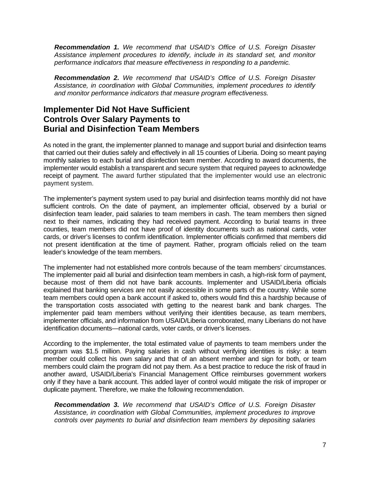*Recommendation 1. We recommend that USAID's Office of U.S. Foreign Disaster Assistance implement procedures to identify, include in its standard set, and monitor performance indicators that measure effectiveness in responding to a pandemic.* 

*Recommendation 2. We recommend that USAID's Office of U.S. Foreign Disaster Assistance, in coordination with Global Communities, implement procedures to identify and monitor performance indicators that measure program effectiveness.* 

#### **Implementer Did Not Have Sufficient Controls Over Salary Payments to Burial and Disinfection Team Members**

As noted in the grant, the implementer planned to manage and support burial and disinfection teams that carried out their duties safely and effectively in all 15 counties of Liberia. Doing so meant paying monthly salaries to each burial and disinfection team member. According to award documents, the implementer would establish a transparent and secure system that required payees to acknowledge receipt of payment. The award further stipulated that the implementer would use an electronic payment system.

 disinfection team leader, paid salaries to team members in cash. The team members then signed The implementer's payment system used to pay burial and disinfection teams monthly did not have sufficient controls. On the date of payment, an implementer official, observed by a burial or next to their names, indicating they had received payment. According to burial teams in three counties, team members did not have proof of identity documents such as national cards, voter cards, or driver's licenses to confirm identification. Implementer officials confirmed that members did not present identification at the time of payment. Rather, program officials relied on the team leader's knowledge of the team members.

 the transportation costs associated with getting to the nearest bank and bank charges. The The implementer had not established more controls because of the team members' circumstances. The implementer paid all burial and disinfection team members in cash, a high-risk form of payment, because most of them did not have bank accounts. Implementer and USAID/Liberia officials explained that banking services are not easily accessible in some parts of the country. While some team members could open a bank account if asked to, others would find this a hardship because of implementer paid team members without verifying their identities because, as team members, implementer officials, and information from USAID/Liberia corroborated, many Liberians do not have identification documents—national cards, voter cards, or driver's licenses.

According to the implementer, the total estimated value of payments to team members under the program was \$1.5 million. Paying salaries in cash without verifying identities is risky: a team member could collect his own salary and that of an absent member and sign for both, or team members could claim the program did not pay them. As a best practice to reduce the risk of fraud in another award, USAID/Liberia's Financial Management Office reimburses government workers only if they have a bank account. This added layer of control would mitigate the risk of improper or duplicate payment. Therefore, we make the following recommendation.

*Recommendation 3. We recommend that USAID's Office of U.S. Foreign Disaster Assistance, in coordination with Global Communities, implement procedures to improve controls over payments to burial and disinfection team members by depositing salaries*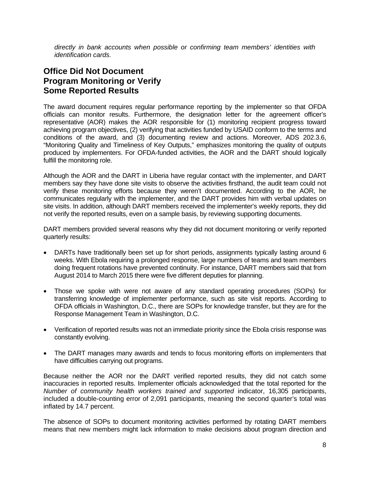*directly in bank accounts when possible or confirming team members' identities with identification cards.* 

### **Office Did Not Document Program Monitoring or Verify Some Reported Results**

The award document requires regular performance reporting by the implementer so that OFDA officials can monitor results. Furthermore, the designation letter for the agreement officer's representative (AOR) makes the AOR responsible for (1) monitoring recipient progress toward achieving program objectives, (2) verifying that activities funded by USAID conform to the terms and conditions of the award, and (3) documenting review and actions. Moreover, ADS 202.3.6, "Monitoring Quality and Timeliness of Key Outputs," emphasizes monitoring the quality of outputs produced by implementers. For OFDA-funded activities, the AOR and the DART should logically fulfill the monitoring role.

 Although the AOR and the DART in Liberia have regular contact with the implementer, and DART not verify the reported results, even on a sample basis, by reviewing supporting documents. members say they have done site visits to observe the activities firsthand, the audit team could not verify these monitoring efforts because they weren't documented. According to the AOR, he communicates regularly with the implementer, and the DART provides him with verbal updates on site visits. In addition, although DART members received the implementer's weekly reports, they did

DART members provided several reasons why they did not document monitoring or verify reported quarterly results:

- DARTs have traditionally been set up for short periods, assignments typically lasting around 6 weeks. With Ebola requiring a prolonged response, large numbers of teams and team members doing frequent rotations have prevented continuity. For instance, DART members said that from August 2014 to March 2015 there were five different deputies for planning.
- Those we spoke with were not aware of any standard operating procedures (SOPs) for transferring knowledge of implementer performance, such as site visit reports. According to OFDA officials in Washington, D.C., there are SOPs for knowledge transfer, but they are for the Response Management Team in Washington, D.C.
- constantly evolving. Verification of reported results was not an immediate priority since the Ebola crisis response was
- The DART manages many awards and tends to focus monitoring efforts on implementers that have difficulties carrying out programs.

Because neither the AOR nor the DART verified reported results, they did not catch some inaccuracies in reported results. Implementer officials acknowledged that the total reported for the *Number of community health workers trained and supported* indicator, 16,305 participants, included a double-counting error of 2,091 participants, meaning the second quarter's total was inflated by 14.7 percent.

The absence of SOPs to document monitoring activities performed by rotating DART members means that new members might lack information to make decisions about program direction and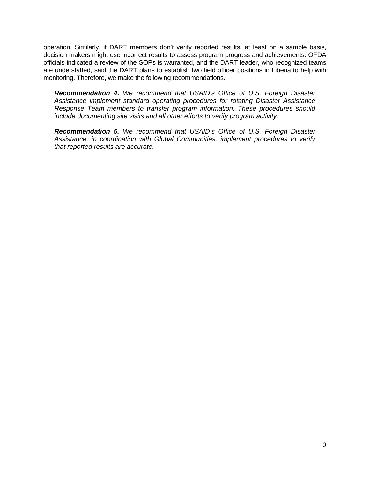decision makers might use incorrect results to assess program progress and achievements. OFDA operation. Similarly, if DART members don't verify reported results, at least on a sample basis, officials indicated a review of the SOPs is warranted, and the DART leader, who recognized teams are understaffed, said the DART plans to establish two field officer positions in Liberia to help with monitoring. Therefore, we make the following recommendations.

*Recommendation 4. We recommend that USAID's Office of U.S. Foreign Disaster Assistance implement standard operating procedures for rotating Disaster Assistance Response Team members to transfer program information. These procedures should include documenting site visits and all other efforts to verify program activity.* 

*Recommendation 5. We recommend that USAID's Office of U.S. Foreign Disaster Assistance, in coordination with Global Communities, implement procedures to verify that reported results are accurate.*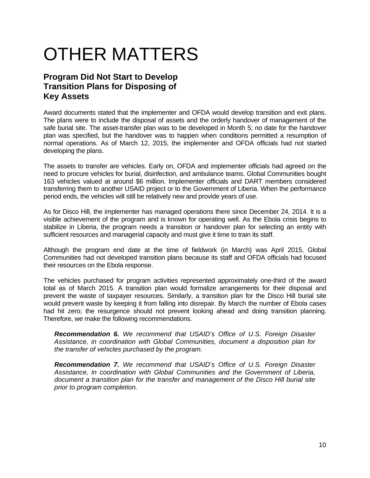# OTHER MATTERS

### **Program Did Not Start to Develop Transition Plans for Disposing of Key Assets**

 plan was specified, but the handover was to happen when conditions permitted a resumption of Award documents stated that the implementer and OFDA would develop transition and exit plans. The plans were to include the disposal of assets and the orderly handover of management of the safe burial site. The asset-transfer plan was to be developed in Month 5; no date for the handover normal operations. As of March 12, 2015, the implementer and OFDA officials had not started developing the plans.

 period ends, the vehicles will still be relatively new and provide years of use. The assets to transfer are vehicles. Early on, OFDA and implementer officials had agreed on the need to procure vehicles for burial, disinfection, and ambulance teams. Global Communities bought 163 vehicles valued at around \$6 million. Implementer officials and DART members considered transferring them to another USAID project or to the Government of Liberia. When the performance

 stabilize in Liberia, the program needs a transition or handover plan for selecting an entity with sufficient resources and managerial capacity and must give it time to train its staff. As for Disco Hill, the implementer has managed operations there since December 24, 2014. It is a visible achievement of the program and is known for operating well. As the Ebola crisis begins to

Although the program end date at the time of fieldwork (in March) was April 2015, Global Communities had not developed transition plans because its staff and OFDA officials had focused their resources on the Ebola response.

The vehicles purchased for program activities represented approximately one-third of the award total as of March 2015. A transition plan would formalize arrangements for their disposal and prevent the waste of taxpayer resources. Similarly, a transition plan for the Disco Hill burial site would prevent waste by keeping it from falling into disrepair. By March the number of Ebola cases had hit zero; the resurgence should not prevent looking ahead and doing transition planning. Therefore, we make the following recommendations.

*Recommendation 6. We recommend that USAID's Office of U.S. Foreign Disaster Assistance, in coordination with Global Communities, document a disposition plan for the transfer of vehicles purchased by the program.* 

*Recommendation 7. We recommend that USAID's Office of U.S. Foreign Disaster Assistance, in coordination with Global Communities and the Government of Liberia, document a transition plan for the transfer and management of the Disco Hill burial site prior to program completion.*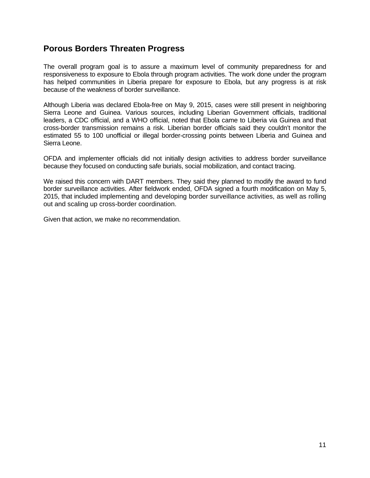#### **Porous Borders Threaten Progress**

The overall program goal is to assure a maximum level of community preparedness for and responsiveness to exposure to Ebola through program activities. The work done under the program has helped communities in Liberia prepare for exposure to Ebola, but any progress is at risk because of the weakness of border surveillance.

 estimated 55 to 100 unofficial or illegal border-crossing points between Liberia and Guinea and Although Liberia was declared Ebola-free on May 9, 2015, cases were still present in neighboring Sierra Leone and Guinea. Various sources, including Liberian Government officials, traditional leaders, a CDC official, and a WHO official, noted that Ebola came to Liberia via Guinea and that cross-border transmission remains a risk. Liberian border officials said they couldn't monitor the Sierra Leone.

OFDA and implementer officials did not initially design activities to address border surveillance because they focused on conducting safe burials, social mobilization, and contact tracing.

 We raised this concern with DART members. They said they planned to modify the award to fund 2015, that included implementing and developing border surveillance activities, as well as rolling border surveillance activities. After fieldwork ended, OFDA signed a fourth modification on May 5, out and scaling up cross-border coordination.

Given that action, we make no recommendation.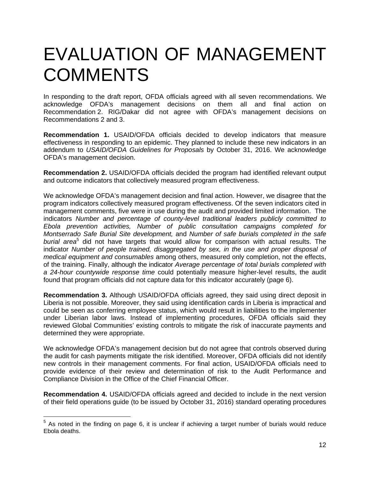## EVALUATION OF MANAGEMENT **COMMENTS**

In responding to the draft report, OFDA officials agreed with all seven recommendations. We acknowledge OFDA's management decisions on them all and final action on Recommendation 2. RIG/Dakar did not agree with OFDA's management decisions on Recommendations 2 and 3.

**Recommendation 1.** USAID/OFDA officials decided to develop indicators that measure effectiveness in responding to an epidemic. They planned to include these new indicators in an addendum to *USAID/OFDA Guidelines for Proposals* by October 31, 2016. We acknowledge OFDA's management decision.

and outcome indicators that collectively measured program effectiveness. **Recommendation 2.** USAID/OFDA officials decided the program had identified relevant output

 of the training. Finally, although the indicator *Average percentage of total burials completed with*  We acknowledge OFDA's management decision and final action. However, we disagree that the program indicators collectively measured program effectiveness. Of the seven indicators cited in management comments, five were in use during the audit and provided limited information. The indicators *Number and percentage of county-level traditional leaders publicly committed to Ebola prevention activities, Number of public consultation campaigns completed for Montserrado Safe Burial Site development,* and *Number of safe burials completed in the safe*  burial area<sup>5</sup> did not have targets that would allow for comparison with actual results. The indicator *Number of people trained, disaggregated by sex, in the use and proper disposal of medical equipment and consumables* among others, measured only completion, not the effects, *a 24-hour countywide response time* could potentially measure higher-level results, the audit found that program officials did not capture data for this indicator accurately (page 6).

**Recommendation 3.** Although USAID/OFDA officials agreed, they said using direct deposit in Liberia is not possible. Moreover, they said using identification cards in Liberia is impractical and could be seen as conferring employee status, which would result in liabilities to the implementer under Liberian labor laws. Instead of implementing procedures, OFDA officials said they reviewed Global Communities' existing controls to mitigate the risk of inaccurate payments and determined they were appropriate.

We acknowledge OFDA's management decision but do not agree that controls observed during the audit for cash payments mitigate the risk identified. Moreover, OFDA officials did not identify new controls in their management comments. For final action, USAID/OFDA officials need to provide evidence of their review and determination of risk to the Audit Performance and Compliance Division in the Office of the Chief Financial Officer.

**Recommendation 4.** USAID/OFDA officials agreed and decided to include in the next version of their field operations guide (to be issued by October 31, 2016) standard operating procedures

 $\overline{a}$ 

 $5$  As noted in the finding on page 6, it is unclear if achieving a target number of burials would reduce Ebola deaths.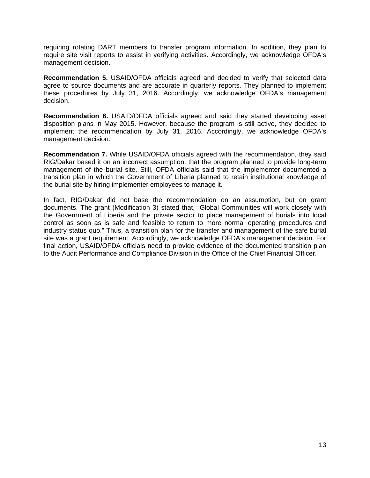requiring rotating DART members to transfer program information. In addition, they plan to require site visit reports to assist in verifying activities. Accordingly, we acknowledge OFDA's management decision.

**Recommendation 5.** USAID/OFDA officials agreed and decided to verify that selected data agree to source documents and are accurate in quarterly reports. They planned to implement these procedures by July 31, 2016. Accordingly, we acknowledge OFDA's management decision.

**Recommendation 6.** USAID/OFDA officials agreed and said they started developing asset disposition plans in May 2015. However, because the program is still active, they decided to implement the recommendation by July 31, 2016. Accordingly, we acknowledge OFDA's management decision.

**Recommendation 7.** While USAID/OFDA officials agreed with the recommendation, they said RIG/Dakar based it on an incorrect assumption: that the program planned to provide long-term management of the burial site. Still, OFDA officials said that the implementer documented a transition plan in which the Government of Liberia planned to retain institutional knowledge of the burial site by hiring implementer employees to manage it.

In fact, RIG/Dakar did not base the recommendation on an assumption, but on grant documents. The grant (Modification 3) stated that, "Global Communities will work closely with the Government of Liberia and the private sector to place management of burials into local control as soon as is safe and feasible to return to more normal operating procedures and industry status quo." Thus, a transition plan for the transfer and management of the safe burial site was a grant requirement. Accordingly, we acknowledge OFDA's management decision. For final action, USAID/OFDA officials need to provide evidence of the documented transition plan to the Audit Performance and Compliance Division in the Office of the Chief Financial Officer.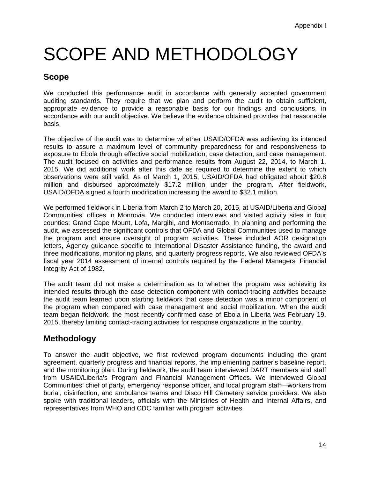# SCOPE AND METHODOLOGY

### **Scope**

We conducted this performance audit in accordance with generally accepted government auditing standards. They require that we plan and perform the audit to obtain sufficient, appropriate evidence to provide a reasonable basis for our findings and conclusions, in accordance with our audit objective. We believe the evidence obtained provides that reasonable basis.

The objective of the audit was to determine whether USAID/OFDA was achieving its intended results to assure a maximum level of community preparedness for and responsiveness to exposure to Ebola through effective social mobilization, case detection, and case management. The audit focused on activities and performance results from August 22, 2014, to March 1, 2015. We did additional work after this date as required to determine the extent to which observations were still valid. As of March 1, 2015, USAID/OFDA had obligated about \$20.8 million and disbursed approximately \$17.2 million under the program. After fieldwork, USAID/OFDA signed a fourth modification increasing the award to \$32.1 million.

We performed fieldwork in Liberia from March 2 to March 20, 2015, at USAID/Liberia and Global Communities' offices in Monrovia. We conducted interviews and visited activity sites in four counties: Grand Cape Mount, Lofa, Margibi, and Montserrado. In planning and performing the audit, we assessed the significant controls that OFDA and Global Communities used to manage the program and ensure oversight of program activities. These included AOR designation letters, Agency guidance specific to International Disaster Assistance funding, the award and three modifications, monitoring plans, and quarterly progress reports. We also reviewed OFDA's fiscal year 2014 assessment of internal controls required by the Federal Managers' Financial Integrity Act of 1982.

The audit team did not make a determination as to whether the program was achieving its intended results through the case detection component with contact-tracing activities because the audit team learned upon starting fieldwork that case detection was a minor component of the program when compared with case management and social mobilization. When the audit team began fieldwork, the most recently confirmed case of Ebola in Liberia was February 19, 2015, thereby limiting contact-tracing activities for response organizations in the country.

### **Methodology**

To answer the audit objective, we first reviewed program documents including the grant agreement, quarterly progress and financial reports, the implementing partner's baseline report, and the monitoring plan. During fieldwork, the audit team interviewed DART members and staff from USAID/Liberia's Program and Financial Management Offices. We interviewed Global Communities' chief of party, emergency response officer, and local program staff—workers from burial, disinfection, and ambulance teams and Disco Hill Cemetery service providers. We also spoke with traditional leaders, officials with the Ministries of Health and Internal Affairs, and representatives from WHO and CDC familiar with program activities.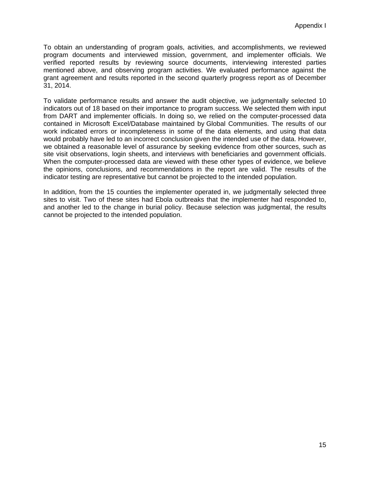To obtain an understanding of program goals, activities, and accomplishments, we reviewed program documents and interviewed mission, government, and implementer officials. We verified reported results by reviewing source documents, interviewing interested parties mentioned above, and observing program activities. We evaluated performance against the grant agreement and results reported in the second quarterly progress report as of December 31, 2014.

indicator testing are representative but cannot be projected to the intended population. To validate performance results and answer the audit objective, we judgmentally selected 10 indicators out of 18 based on their importance to program success. We selected them with input from DART and implementer officials. In doing so, we relied on the computer-processed data contained in Microsoft Excel/Database maintained by Global Communities. The results of our work indicated errors or incompleteness in some of the data elements, and using that data would probably have led to an incorrect conclusion given the intended use of the data. However, we obtained a reasonable level of assurance by seeking evidence from other sources, such as site visit observations, login sheets, and interviews with beneficiaries and government officials. When the computer-processed data are viewed with these other types of evidence, we believe the opinions, conclusions, and recommendations in the report are valid. The results of the

In addition, from the 15 counties the implementer operated in, we judgmentally selected three sites to visit. Two of these sites had Ebola outbreaks that the implementer had responded to, and another led to the change in burial policy. Because selection was judgmental, the results cannot be projected to the intended population.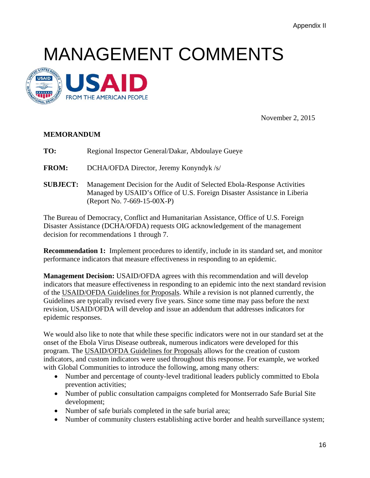## MANAGEMENT COMMENTS



November 2, 2015

#### **MEMORANDUM**

**TO:** Regional Inspector General/Dakar, Abdoulaye Gueye

**FROM:** DCHA/OFDA Director, Jeremy Konyndyk /s/

**SUBJECT:** Management Decision for the Audit of Selected Ebola-Response Activities Managed by USAID's Office of U.S. Foreign Disaster Assistance in Liberia (Report No. 7-669-15-00X-P)

The Bureau of Democracy, Conflict and Humanitarian Assistance, Office of U.S. Foreign Disaster Assistance (DCHA/OFDA) requests OIG acknowledgement of the management decision for recommendations 1 through 7.

**Recommendation 1:** Implement procedures to identify, include in its standard set, and monitor performance indicators that measure effectiveness in responding to an epidemic.

**Management Decision:** USAID/OFDA agrees with this recommendation and will develop indicators that measure effectiveness in responding to an epidemic into the next standard revision of the USAID/OFDA Guidelines for Proposals. While a revision is not planned currently, the Guidelines are typically revised every five years. Since some time may pass before the next revision, USAID/OFDA will develop and issue an addendum that addresses indicators for epidemic responses.

We would also like to note that while these specific indicators were not in our standard set at the onset of the Ebola Virus Disease outbreak, numerous indicators were developed for this program. The USAID/OFDA Guidelines for Proposals allows for the creation of custom indicators, and custom indicators were used throughout this response. For example, we worked with Global Communities to introduce the following, among many others:

- Number and percentage of county-level traditional leaders publicly committed to Ebola prevention activities;
- Number of public consultation campaigns completed for Montserrado Safe Burial Site development;
- Number of safe burials completed in the safe burial area;
- Number of community clusters establishing active border and health surveillance system;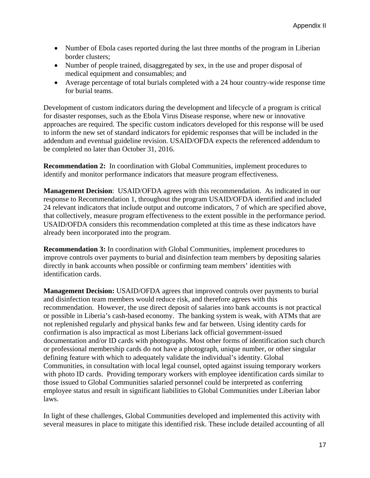- Number of Ebola cases reported during the last three months of the program in Liberian border clusters;
- Number of people trained, disaggregated by sex, in the use and proper disposal of medical equipment and consumables; and
- Average percentage of total burials completed with a 24 hour country-wide response time for burial teams.

Development of custom indicators during the development and lifecycle of a program is critical for disaster responses, such as the Ebola Virus Disease response, where new or innovative approaches are required. The specific custom indicators developed for this response will be used to inform the new set of standard indicators for epidemic responses that will be included in the addendum and eventual guideline revision. USAID/OFDA expects the referenced addendum to be completed no later than October 31, 2016.

**Recommendation 2:** In coordination with Global Communities, implement procedures to identify and monitor performance indicators that measure program effectiveness.

 **Management Decision**: USAID/OFDA agrees with this recommendation. As indicated in our response to Recommendation 1, throughout the program USAID/OFDA identified and included 24 relevant indicators that include output and outcome indicators, 7 of which are specified above, that collectively, measure program effectiveness to the extent possible in the performance period. USAID/OFDA considers this recommendation completed at this time as these indicators have already been incorporated into the program.

**Recommendation 3:** In coordination with Global Communities, implement procedures to improve controls over payments to burial and disinfection team members by depositing salaries directly in bank accounts when possible or confirming team members' identities with identification cards.

**Management Decision:** USAID/OFDA agrees that improved controls over payments to burial and disinfection team members would reduce risk, and therefore agrees with this recommendation. However, the use direct deposit of salaries into bank accounts is not practical or possible in Liberia's cash-based economy. The banking system is weak, with ATMs that are not replenished regularly and physical banks few and far between. Using identity cards for confirmation is also impractical as most Liberians lack official government-issued documentation and/or ID cards with photographs. Most other forms of identification such church or professional membership cards do not have a photograph, unique number, or other singular defining feature with which to adequately validate the individual's identity. Global Communities, in consultation with local legal counsel, opted against issuing temporary workers with photo ID cards. Providing temporary workers with employee identification cards similar to those issued to Global Communities salaried personnel could be interpreted as conferring employee status and result in significant liabilities to Global Communities under Liberian labor laws.

In light of these challenges, Global Communities developed and implemented this activity with several measures in place to mitigate this identified risk. These include detailed accounting of all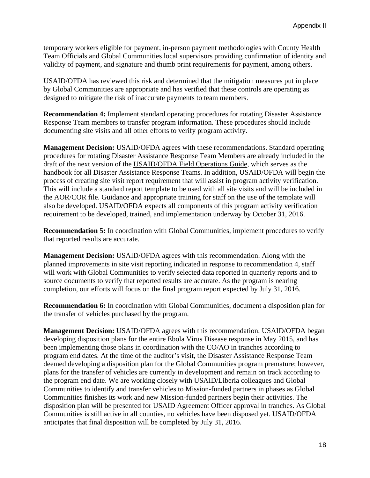temporary workers eligible for payment, in-person payment methodologies with County Health Team Officials and Global Communities local supervisors providing confirmation of identity and validity of payment, and signature and thumb print requirements for payment, among others.

USAID/OFDA has reviewed this risk and determined that the mitigation measures put in place by Global Communities are appropriate and has verified that these controls are operating as designed to mitigate the risk of inaccurate payments to team members.

**Recommendation 4:** Implement standard operating procedures for rotating Disaster Assistance Response Team members to transfer program information. These procedures should include documenting site visits and all other efforts to verify program activity.

**Management Decision:** USAID/OFDA agrees with these recommendations. Standard operating procedures for rotating Disaster Assistance Response Team Members are already included in the draft of the next version of the USAID/OFDA Field Operations Guide, which serves as the handbook for all Disaster Assistance Response Teams. In addition, USAID/OFDA will begin the process of creating site visit report requirement that will assist in program activity verification. This will include a standard report template to be used with all site visits and will be included in the AOR/COR file. Guidance and appropriate training for staff on the use of the template will also be developed. USAID/OFDA expects all components of this program activity verification requirement to be developed, trained, and implementation underway by October 31, 2016.

**Recommendation 5:** In coordination with Global Communities, implement procedures to verify that reported results are accurate.

**Management Decision:** USAID/OFDA agrees with this recommendation. Along with the planned improvements in site visit reporting indicated in response to recommendation 4, staff will work with Global Communities to verify selected data reported in quarterly reports and to source documents to verify that reported results are accurate. As the program is nearing completion, our efforts will focus on the final program report expected by July 31, 2016.

**Recommendation 6:** In coordination with Global Communities, document a disposition plan for the transfer of vehicles purchased by the program.

**Management Decision:** USAID/OFDA agrees with this recommendation. USAID/OFDA began developing disposition plans for the entire Ebola Virus Disease response in May 2015, and has been implementing those plans in coordination with the CO/AO in tranches according to program end dates. At the time of the auditor's visit, the Disaster Assistance Response Team deemed developing a disposition plan for the Global Communities program premature; however, plans for the transfer of vehicles are currently in development and remain on track according to the program end date. We are working closely with USAID/Liberia colleagues and Global Communities to identify and transfer vehicles to Mission-funded partners in phases as Global Communities finishes its work and new Mission-funded partners begin their activities. The disposition plan will be presented for USAID Agreement Officer approval in tranches. As Global Communities is still active in all counties, no vehicles have been disposed yet. USAID/OFDA anticipates that final disposition will be completed by July 31, 2016.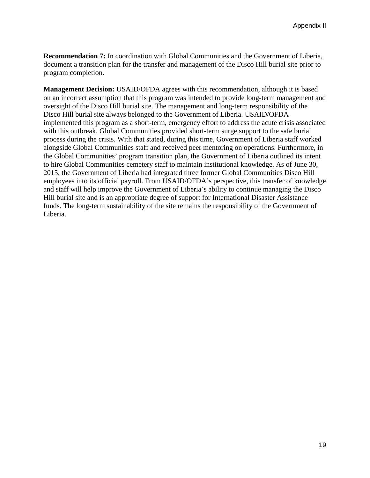**Recommendation 7:** In coordination with Global Communities and the Government of Liberia, document a transition plan for the transfer and management of the Disco Hill burial site prior to program completion.

**Management Decision:** USAID/OFDA agrees with this recommendation, although it is based on an incorrect assumption that this program was intended to provide long-term management and oversight of the Disco Hill burial site. The management and long-term responsibility of the Disco Hill burial site always belonged to the Government of Liberia. USAID/OFDA implemented this program as a short-term, emergency effort to address the acute crisis associated with this outbreak. Global Communities provided short-term surge support to the safe burial process during the crisis. With that stated, during this time, Government of Liberia staff worked alongside Global Communities staff and received peer mentoring on operations. Furthermore, in the Global Communities' program transition plan, the Government of Liberia outlined its intent to hire Global Communities cemetery staff to maintain institutional knowledge. As of June 30, 2015, the Government of Liberia had integrated three former Global Communities Disco Hill employees into its official payroll. From USAID/OFDA's perspective, this transfer of knowledge and staff will help improve the Government of Liberia's ability to continue managing the Disco Hill burial site and is an appropriate degree of support for International Disaster Assistance funds. The long-term sustainability of the site remains the responsibility of the Government of Liberia.